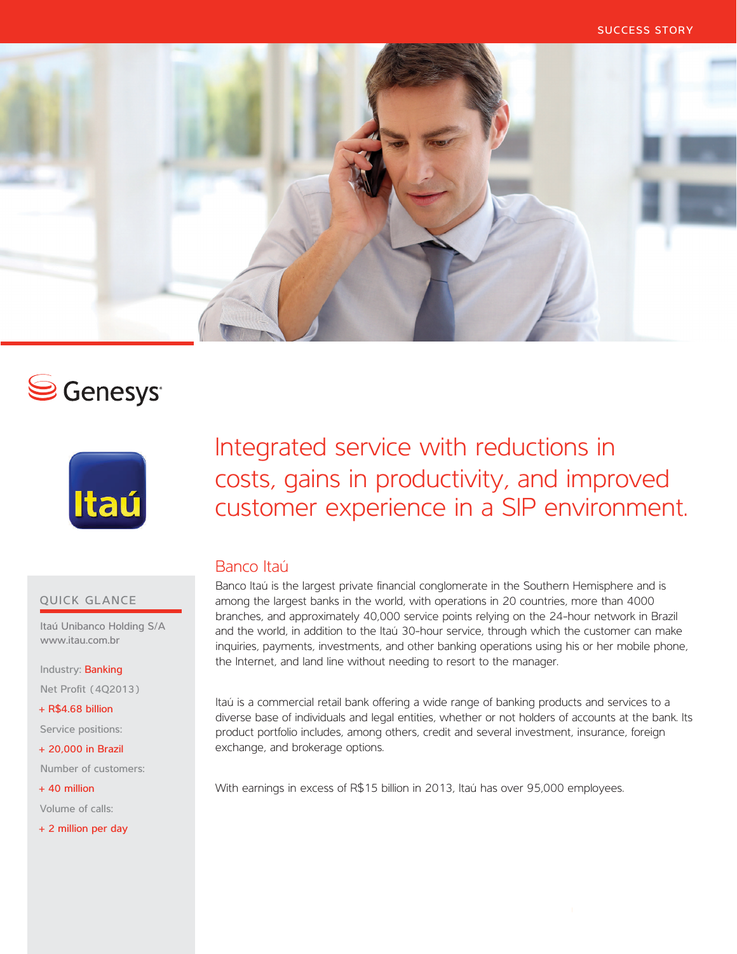

# S Genesys<sup>®</sup>



# Integrated service with reductions in costs, gains in productivity, and improved customer experience in a SIP environment.

## Banco Itaú

Banco Itaú is the largest private financial conglomerate in the Southern Hemisphere and is among the largest banks in the world, with operations in 20 countries, more than 4000 branches, and approximately 40,000 service points relying on the 24-hour network in Brazil and the world, in addition to the Itaú 30-hour service, through which the customer can make inquiries, payments, investments, and other banking operations using his or her mobile phone, the Internet, and land line without needing to resort to the manager.

Itaú is a commercial retail bank offering a wide range of banking products and services to a diverse base of individuals and legal entities, whether or not holders of accounts at the bank. Its product portfolio includes, among others, credit and several investment, insurance, foreign exchange, and brokerage options.

With earnings in excess of R\$15 billion in 2013, Itaú has over 95,000 employees.

### QUICK GLANCE

Itaú Unibanco Holding S/A www.itau.com.br

Industry: Banking

Net Profit (4Q2013)

+ R\$4.68 billion

Service positions:

+ 20,000 in Brazil

Number of customers:

+ 40 million

Volume of calls:

+ 2 million per day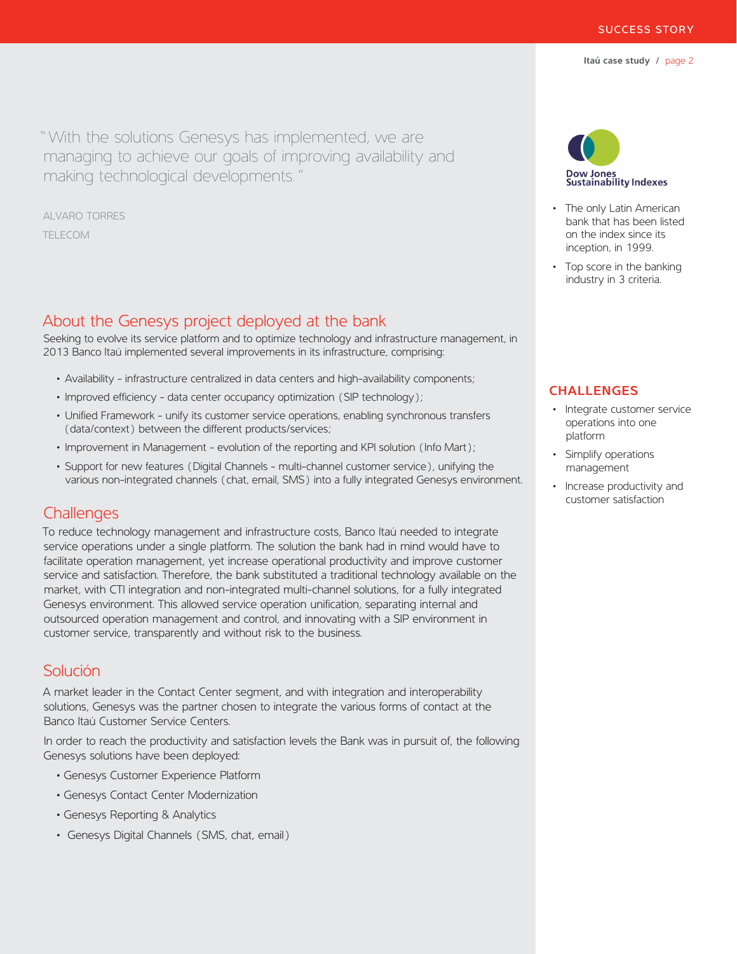"With the solutions Genesys has implemented, we are managing to achieve our goals of improving availability and making technological developments."

ALVARO TORRES **TELECOM** 

## About the Genesys project deployed at the bank

Seeking to evolve its service platform and to optimize technology and infrastructure management, in 2013 Banco Itaú implemented several improvements in its infrastructure, comprising:

- Availability infrastructure centralized in data centers and high-availability components;
- Improved efficiency data center occupancy optimization (SIP technology);
- Unified Framework unify its customer service operations, enabling synchronous transfers (data/context) between the different products/services;
- Improvement in Management evolution of the reporting and KPI solution (Info Mart);
- Support for new features (Digital Channels multi-channel customer service), unifying the various non-integrated channels (chat, email, SMS) into a fully integrated Genesys environment.

## **Challenges**

To reduce technology management and infrastructure costs, Banco Itaú needed to integrate service operations under a single platform. The solution the bank had in mind would have to facilitate operation management, yet increase operational productivity and improve customer service and satisfaction. Therefore, the bank substituted a traditional technology available on the market, with CTI integration and non-integrated multi-channel solutions, for a fully integrated Genesys environment. This allowed service operation unification, separating internal and outsourced operation management and control, and innovating with a SIP environment in customer service, transparently and without risk to the business.

# Solución

A market leader in the Contact Center segment, and with integration and interoperability solutions, Genesys was the partner chosen to integrate the various forms of contact at the Banco Itaú Customer Service Centers.

In order to reach the productivity and satisfaction levels the Bank was in pursuit of, the following Genesys solutions have been deployed:

- Genesys Customer Experience Platform
- Genesys Contact Center Modernization
- Genesys Reporting & Analytics
- Genesys Digital Channels (SMS, chat, email)



- The only Latin American bank that has been listed on the index since its inception, in 1999.
- Top score in the banking industry in 3 criteria.

### **CHALLENGES**

- Integrate customer service operations into one platform
- Simplify operations management
- Increase productivity and customer satisfaction